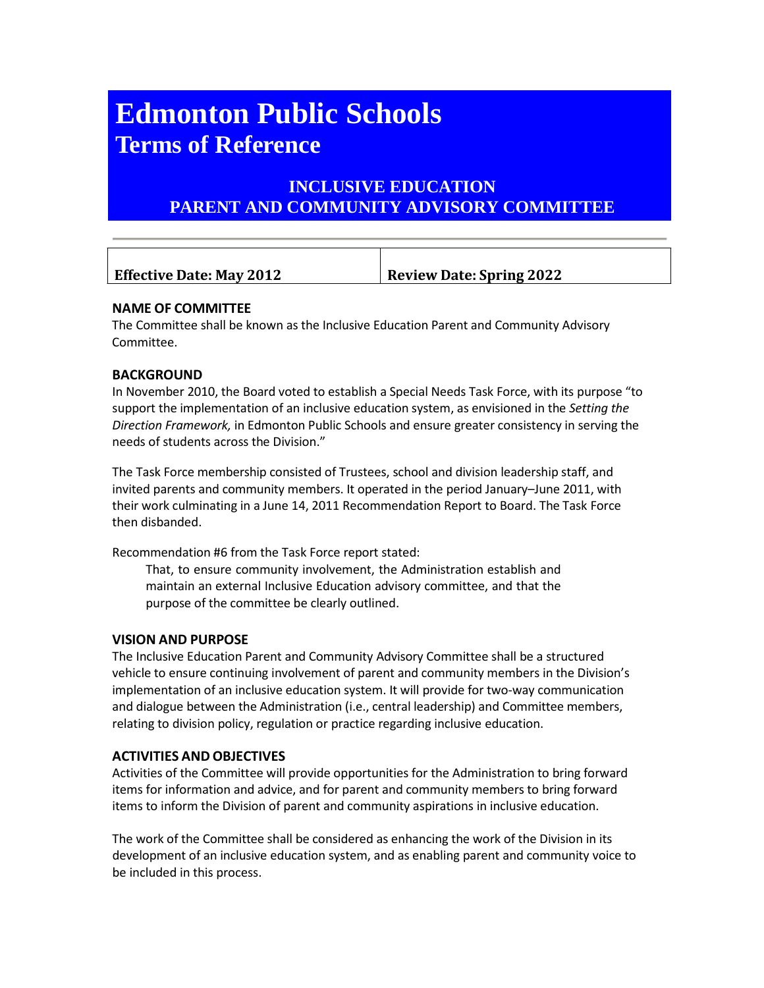# **Edmonton Public Schools Terms of Reference**

# **INCLUSIVE EDUCATION PARENT AND COMMUNITY ADVISORY COMMITTEE**

| <b>Effective Date: May 2012</b> | <b>Review Date: Spring 2022</b> |
|---------------------------------|---------------------------------|

# **NAME OF COMMITTEE**

The Committee shall be known as the Inclusive Education Parent and Community Advisory Committee.

# **BACKGROUND**

In November 2010, the Board voted to establish a Special Needs Task Force, with its purpose "to support the implementation of an inclusive education system, as envisioned in the *Setting the Direction Framework,* in Edmonton Public Schools and ensure greater consistency in serving the needs of students across the Division."

The Task Force membership consisted of Trustees, school and division leadership staff, and invited parents and community members. It operated in the period January–June 2011, with their work culminating in a June 14, 2011 Recommendation Report to Board. The Task Force then disbanded.

Recommendation #6 from the Task Force report stated:

That, to ensure community involvement, the Administration establish and maintain an external Inclusive Education advisory committee, and that the purpose of the committee be clearly outlined.

#### **VISION AND PURPOSE**

The Inclusive Education Parent and Community Advisory Committee shall be a structured vehicle to ensure continuing involvement of parent and community members in the Division's implementation of an inclusive education system. It will provide for two-way communication and dialogue between the Administration (i.e., central leadership) and Committee members, relating to division policy, regulation or practice regarding inclusive education.

#### **ACTIVITIES AND OBJECTIVES**

Activities of the Committee will provide opportunities for the Administration to bring forward items for information and advice, and for parent and community members to bring forward items to inform the Division of parent and community aspirations in inclusive education.

The work of the Committee shall be considered as enhancing the work of the Division in its development of an inclusive education system, and as enabling parent and community voice to be included in this process.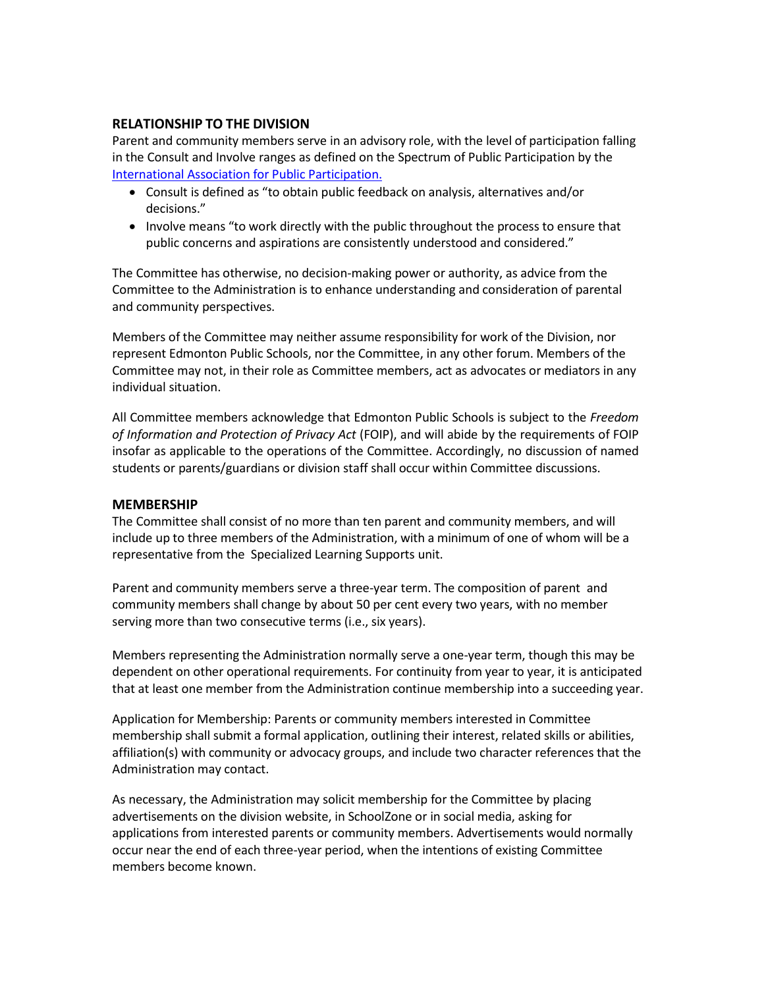# **RELATIONSHIP TO THE DIVISION**

Parent and community members serve in an advisory role, with the level of participation falling in the Consult and Involve ranges as defined on the Spectrum of Public Participation by the International [Association for](https://www.iap2.org/mpage/Home) Public Participation.

- Consult is defined as "to obtain public feedback on analysis, alternatives and/or decisions."
- Involve means "to work directly with the public throughout the process to ensure that public concerns and aspirations are consistently understood and considered."

The Committee has otherwise, no decision-making power or authority, as advice from the Committee to the Administration is to enhance understanding and consideration of parental and community perspectives.

Members of the Committee may neither assume responsibility for work of the Division, nor represent Edmonton Public Schools, nor the Committee, in any other forum. Members of the Committee may not, in their role as Committee members, act as advocates or mediators in any individual situation.

All Committee members acknowledge that Edmonton Public Schools is subject to the *Freedom of Information and Protection of Privacy Act* (FOIP), and will abide by the requirements of FOIP insofar as applicable to the operations of the Committee. Accordingly, no discussion of named students or parents/guardians or division staff shall occur within Committee discussions.

#### **MEMBERSHIP**

The Committee shall consist of no more than ten parent and community members, and will include up to three members of the Administration, with a minimum of one of whom will be a representative from the Specialized Learning Supports unit.

Parent and community members serve a three-year term. The composition of parent and community members shall change by about 50 per cent every two years, with no member serving more than two consecutive terms (i.e., six years).

Members representing the Administration normally serve a one-year term, though this may be dependent on other operational requirements. For continuity from year to year, it is anticipated that at least one member from the Administration continue membership into a succeeding year.

Application for Membership: Parents or community members interested in Committee membership shall submit a formal application, outlining their interest, related skills or abilities, affiliation(s) with community or advocacy groups, and include two character references that the Administration may contact.

As necessary, the Administration may solicit membership for the Committee by placing advertisements on the division website, in SchoolZone or in social media, asking for applications from interested parents or community members. Advertisements would normally occur near the end of each three-year period, when the intentions of existing Committee members become known.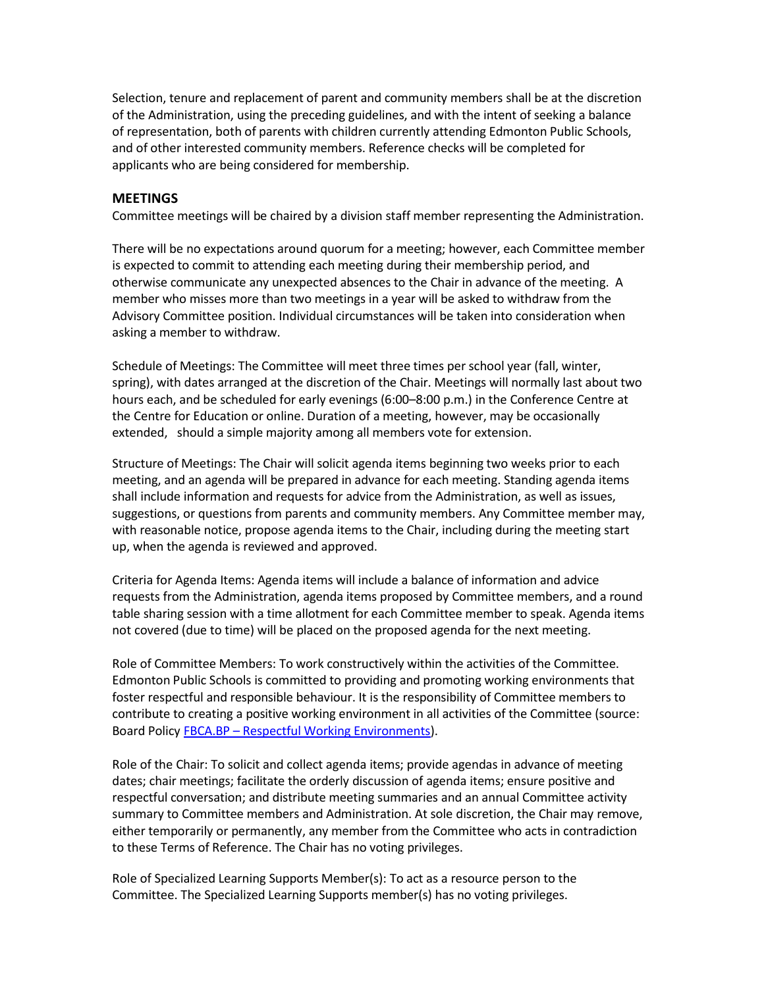Selection, tenure and replacement of parent and community members shall be at the discretion of the Administration, using the preceding guidelines, and with the intent of seeking a balance of representation, both of parents with children currently attending Edmonton Public Schools, and of other interested community members. Reference checks will be completed for applicants who are being considered for membership.

#### **MEETINGS**

Committee meetings will be chaired by a division staff member representing the Administration.

There will be no expectations around quorum for a meeting; however, each Committee member is expected to commit to attending each meeting during their membership period, and otherwise communicate any unexpected absences to the Chair in advance of the meeting. A member who misses more than two meetings in a year will be asked to withdraw from the Advisory Committee position. Individual circumstances will be taken into consideration when asking a member to withdraw.

Schedule of Meetings: The Committee will meet three times per school year (fall, winter, spring), with dates arranged at the discretion of the Chair. Meetings will normally last about two hours each, and be scheduled for early evenings (6:00–8:00 p.m.) in the Conference Centre at the Centre for Education or online. Duration of a meeting, however, may be occasionally extended, should a simple majority among all members vote for extension.

Structure of Meetings: The Chair will solicit agenda items beginning two weeks prior to each meeting, and an agenda will be prepared in advance for each meeting. Standing agenda items shall include information and requests for advice from the Administration, as well as issues, suggestions, or questions from parents and community members. Any Committee member may, with reasonable notice, propose agenda items to the Chair, including during the meeting start up, when the agenda is reviewed and approved.

Criteria for Agenda Items: Agenda items will include a balance of information and advice requests from the Administration, agenda items proposed by Committee members, and a round table sharing session with a time allotment for each Committee member to speak. Agenda items not covered (due to time) will be placed on the proposed agenda for the next meeting.

Role of Committee Members: To work constructively within the activities of the Committee. Edmonton Public Schools is committed to providing and promoting working environments that foster respectful and responsible behaviour. It is the responsibility of Committee members to contribute to creating a positive working environment in all activities of the Committee (source: Board Policy FBCA.BP – Respectful [Working Environments\)](http://www.epsb.ca/ourdistrict/policy/f/fbca-ar/).

Role of the Chair: To solicit and collect agenda items; provide agendas in advance of meeting dates; chair meetings; facilitate the orderly discussion of agenda items; ensure positive and respectful conversation; and distribute meeting summaries and an annual Committee activity summary to Committee members and Administration. At sole discretion, the Chair may remove, either temporarily or permanently, any member from the Committee who acts in contradiction to these Terms of Reference. The Chair has no voting privileges.

Role of Specialized Learning Supports Member(s): To act as a resource person to the Committee. The Specialized Learning Supports member(s) has no voting privileges.